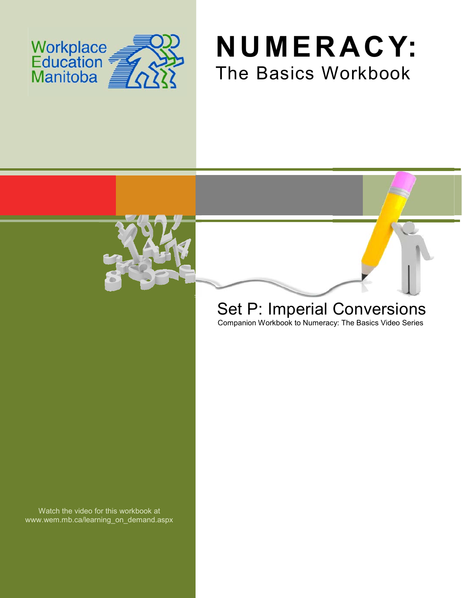





# Set P: Imperial Conversions

Companion Workbook to Numeracy: The Basics Video Series

Watch the video for this workbook at www.wem.mb.ca/learning\_on\_demand.aspx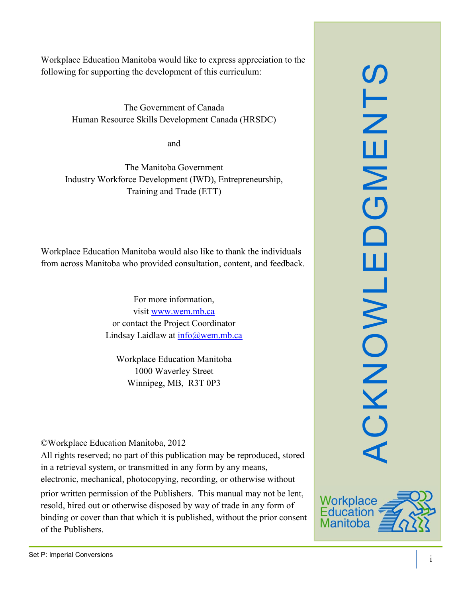Workplace Education Manitoba would like to express appreciation to the following for supporting the development of this curriculum:

> The Government of Canada Human Resource Skills Development Canada (HRSDC)

> > and

The Manitoba Government Industry Workforce Development (IWD), Entrepreneurship, Training and Trade (ETT)

Workplace Education Manitoba would also like to thank the individuals from across Manitoba who provided consultation, content, and feedback.

> For more information, visit [www.wem.mb.ca](http://www.wem.mb.ca/) or contact the Project Coordinator Lindsay Laidlaw at [info@wem.mb.ca](mailto:info@wem.mb.ca)

Workplace Education Manitoba 1000 Waverley Street Winnipeg, MB, R3T 0P3

©Workplace Education Manitoba, 2012

All rights reserved; no part of this publication may be reproduced, stored in a retrieval system, or transmitted in any form by any means, electronic, mechanical, photocopying, recording, or otherwise without

prior written permission of the Publishers. This manual may not be lent, resold, hired out or otherwise disposed by way of trade in any form of binding or cover than that which it is published, without the prior consent of the Publishers.



SLN

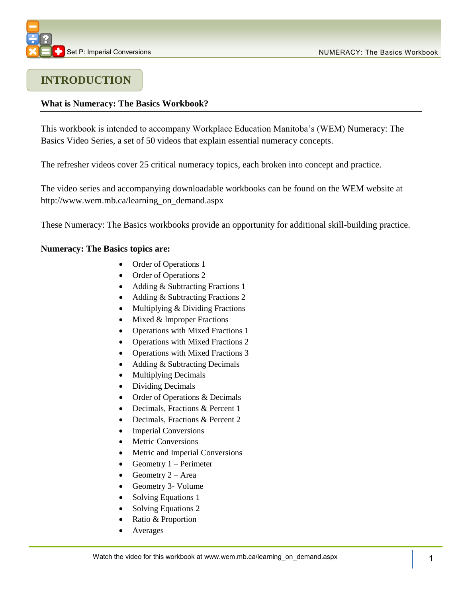

## **INTRODUCTION**

#### **What is Numeracy: The Basics Workbook?**

This workbook is intended to accompany Workplace Education Manitoba's (WEM) Numeracy: The Basics Video Series, a set of 50 videos that explain essential numeracy concepts.

The refresher videos cover 25 critical numeracy topics, each broken into concept and practice.

The video series and accompanying downloadable workbooks can be found on the WEM website at [http://www.wem.mb.ca/learning\\_on\\_demand.aspx](http://www.wem.mb.ca/learning_on_demand.aspx)

These Numeracy: The Basics workbooks provide an opportunity for additional skill-building practice.

#### **Numeracy: The Basics topics are:**

- Order of Operations 1
- Order of Operations 2
- Adding & Subtracting Fractions 1
- Adding & Subtracting Fractions 2
- Multiplying & Dividing Fractions
- $\bullet$  Mixed & Improper Fractions
- Operations with Mixed Fractions 1
- Operations with Mixed Fractions 2
- Operations with Mixed Fractions 3
- Adding & Subtracting Decimals
- Multiplying Decimals
- Dividing Decimals
- Order of Operations & Decimals
- Decimals, Fractions & Percent 1
- Decimals, Fractions & Percent 2
- Imperial Conversions
- Metric Conversions
- Metric and Imperial Conversions
- Geometry  $1 -$  Perimeter
- Geometry  $2 Area$
- Geometry 3- Volume
- Solving Equations 1
- Solving Equations 2
- Ratio & Proportion
- Averages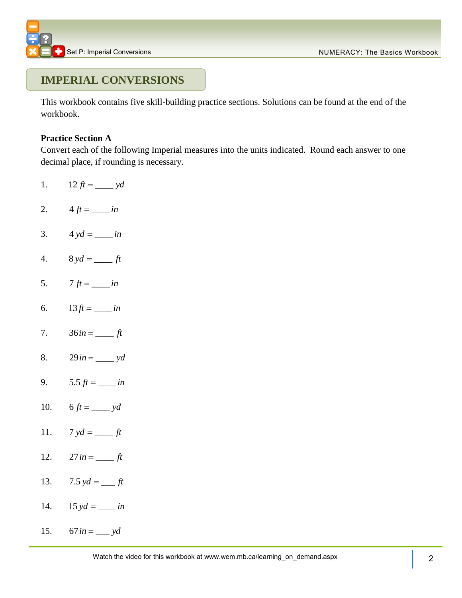## **IMPERIAL CONVERSIONS**

This workbook contains five skill-building practice sections. Solutions can be found at the end of the workbook.

#### **Practice Section A**

Convert each of the following Imperial measures into the units indicated. Round each answer to one decimal place, if rounding is necessary.

- 1. 12  $ft =$  *yd*
- 2.  $4 ft =$  *in*
- 3.  $4 yd =$  *in*
- 4.  $8 \text{ yd} =$  *ft*
- 5.  $7 \text{ ft} = \_ in$
- 6.  $13 ft =$  *in*
- 7.  $36 in =$  *ft*
- 8.  $29 in = v d$
- 9. 5.5  $ft =$  *in*
- 10. 6  $ft =$   $yd$
- 11.  $7 \text{ yd} = \_ \text{rft}$
- 12.  $27 in =$  *ft*
- 13. 7.5  $yd =$  *ft*
- 14.  $15 \text{ yd} = \_ in$
- 15.  $67 in =$  *yd*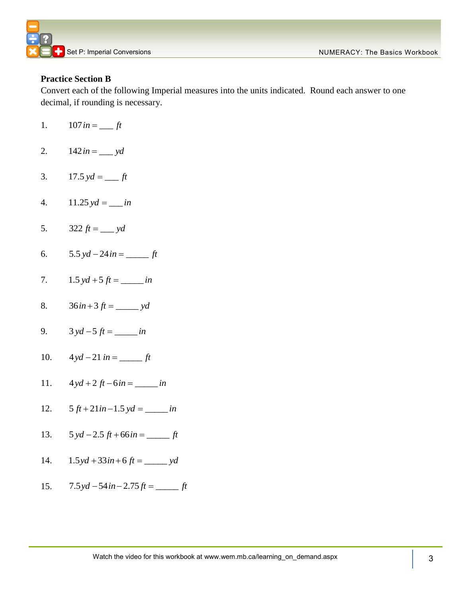

#### **Practice Section B**

Convert each of the following Imperial measures into the units indicated. Round each answer to one decimal, if rounding is necessary.

- 1.  $107 in =$  *ft*
- 2.  $142 in =$  *yd*
- 3.  $17.5 \text{ yd} = \_ \text{ft}$
- 4.  $11.25 \text{ yd} = \_ in$
- 5. 322  $ft =$  *yd*
- 6.  $5.5 \text{ yd} - 24 \text{ in} =$  ft
- 7.  $1.5 \text{ yd} + 5 \text{ ft} =$  *in*
- 8.  $36 in + 3 ft =$  *yd*
- 9.  $3 yd - 5 ft =$  *in*
- 10.  $4 yd - 21 in =$   $ft$
- 11.  $4 y d + 2 ft - 6 in = \_ in$
- 12.  $5 ft + 21 in -1.5 yd =$  *in*
- 13.  $5 yd - 2.5 ft + 66 in =$  ft
- 14.  $1.5 yd + 33 in + 6 ft =$  *yd*
- 15.  $7.5$  yd  $-54$  in  $-2.75$  ft  $=$  ft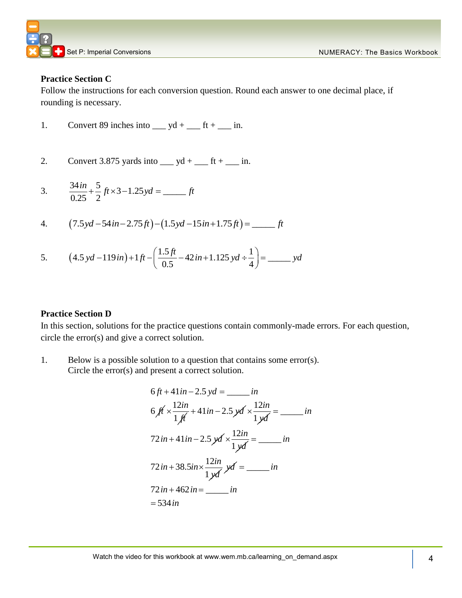

#### **Practice Section C**

Follow the instructions for each conversion question. Round each answer to one decimal place, if rounding is necessary.

- 1. Convert 89 inches into  $y = yd + \underline{\hspace{1cm}} ft + \underline{\hspace{1cm}} in.$
- 2. Convert 3.875 yards into  $y = yd + \dots dt + \dots$  in.

3. 
$$
\frac{34in}{0.25} + \frac{5}{2}ft \times 3 - 1.25yd = \underline{\hspace{2cm}} ft
$$

$$
0.25 \quad 2^{3} \quad \overbrace{\qquad \qquad }^{0.25} \quad 2^{4} \quad (7.5 \,yd - 54 \, in - 2.75 \, ft) - (1.5 \,yd - 15 \, in + 1.75 \, ft) = \underline{\qquad \qquad }^{0.25} \quad ft
$$

4. 
$$
(7.5yd - 54tn - 2.75ft) - (1.5yd - 15tn + 1.75ft) = \underline{\hspace{1cm}} \text{pt}
$$
  
5. 
$$
(4.5yd - 119in) + 1ft - \left(\frac{1.5ft}{0.5} - 42in + 1.125yd + \frac{1}{4}\right) = \underline{\hspace{1cm}} \text{yd}
$$

#### **Practice Section D**

In this section, solutions for the practice questions contain commonly-made errors. For each question, circle the error(s) and give a correct solution.

1. Below is a possible solution to a question that contains some error(s). Circle the error(s) and present a correct solution.

6 ft + 41 in - 2.5 y d = 
$$
...in
$$
  
\n6 ft ×  $\frac{12in}{1ft}$  + 41 in - 2.5 y d ×  $\frac{12in}{1yd}$  =  $...in$   
\n72 in + 41 in - 2.5 y d ×  $\frac{12in}{1yd}$  =  $...in$   
\n72 in + 38.5 in ×  $\frac{12in}{1yd}$  y d =  $...in$   
\n72 in + 462 in =  $...in$   
\n= 534 in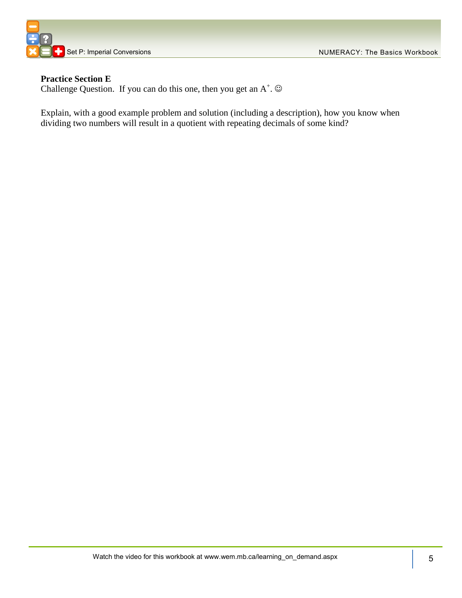



#### **Practice Section E**

Challenge Question. If you can do this one, then you get an  $A^+$ .  $\odot$ 

Explain, with a good example problem and solution (including a description), how you know when dividing two numbers will result in a quotient with repeating decimals of some kind?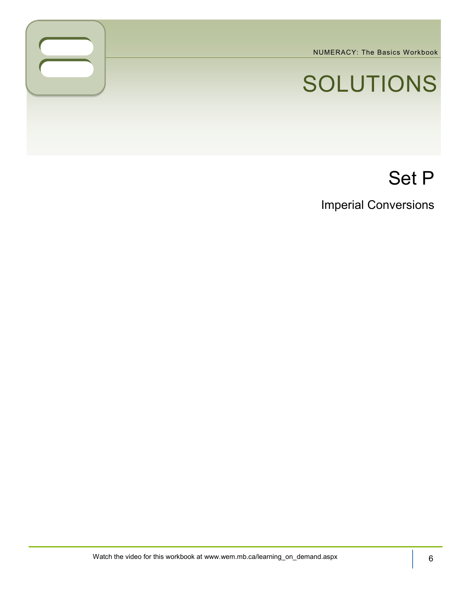NUMERACY: The Basics Workbook

# SOLUTIONS

# Set P

Imperial Conversions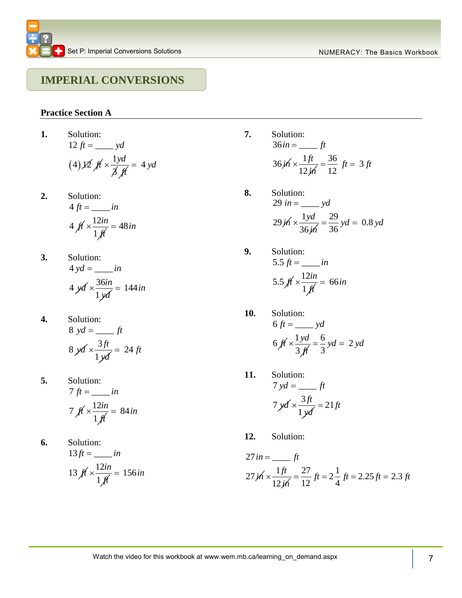### **IMPERIAL CONVERSIONS**

#### **Practice Section A**

1. Solution:  
\n
$$
12 ft = \underline{\hspace{1cm}} yd
$$
\n
$$
(4) \cancel{12} \cancel{f} \cancel{f} \times \frac{1yd}{\cancel{f} \cancel{f}} = 4 yd
$$

- **2.** Solution:  $4 ft = \_ in$ 4  $f{t} \times \frac{12}{ }$ 1 *in ft*  $\times \frac{12i\pi}{\sigma} = 48i\pi$
- **3.** Solution:  $4 yd = \_ in$  $4 \cancel{y}$   $\cancel{4} \times \frac{36}{1}$ 1 *in yd*  $\times \frac{30m}{17} = 144$  in
- **4.** Solution:  $8 \text{ yd} = \underline{\hspace{2cm}} \text{ft}$  $8 \cancel{y}$   $\cancel{4} \times \frac{3}{5}$ 1 *ft yd*  $\times \frac{3ft}{\sqrt{2}} = 24 ft$
- **5.** Solution:  $7 \text{ } ft = \_ in$ 7  $f{t} \times \frac{12}{1}$ 1 *in ft*  $x \frac{12i\pi}{10} = 84i\pi$
- **6.** Solution:  $13 ft =$  *in* 13  $f{t} \times \frac{12}{1}$ 1 *in ft*  $\times \frac{12in}{\sqrt{ }} = 156in$
- **7.** Solution:  $36 in =$   $ft$  $36$  *j*  $x - \frac{1}{12}$ 12 *ft in*  $x \frac{1 ft}{100} = \frac{36}{12} ft = 3$  $=\frac{36}{12}$  *ft* = 3 *ft*
- **8.** Solution: Solution:<br>29 *in* = \_\_\_\_ *yd* 29 jh  $\times \frac{1}{2}$ 36 *yd in*  $\times \frac{1yd}{2} = \frac{29}{36}yd = 0.8$  $=\frac{29}{36}$  yd = 0.8 yd
- **9.** Solution: 5.5  $ft = \_ in$ 5.5  $\cancel{f_1} \times \frac{12}{1}$ 1 *in ft*  $x \frac{12i\pi}{\sigma} = 66i\pi$
- **10.** Solution:  $6 ft =$  yd 6  $\oint \frac{1}{x} \times \frac{1}{x}$ 3 *yd ft*  $\frac{1 \, y \, d}{\sqrt{3}} = \frac{6}{3} \, y \, d = 2$  $=\frac{6}{3}$  yd = 2 yd
- **11.** Solution:  $7 yd = \_ f t$  $7 \cancel{x}$   $\cancel{4} \times \frac{3}{5}$ 1 *ft yd*  $\times \frac{3ft}{\sqrt{2}} = 21ft$
- **12.** Solution:

27 in = 
$$
\frac{1}{12j}
$$
 ft  
\n27  $j\hbar \times \frac{1\hbar}{12j\hbar} = \frac{27}{12} ft = 2\frac{1}{4} ft = 2.25 ft = 2.3 ft$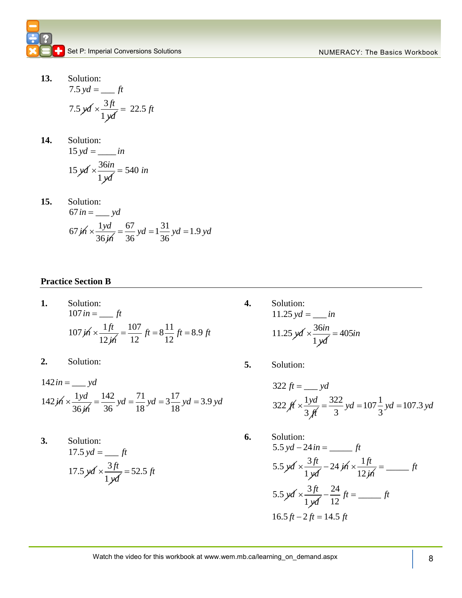**13.** Solution:  $7.5 \,yd =$  *ft* 7.5  $\cancel{x}$ *d*  $\times \frac{3}{2}$ 1 *ft yd*  $\times \frac{3ft}{\sqrt{2}} = 22.5 \text{ ft}$ 

14. Solution:  
\n
$$
15 yd = \underline{\hspace{1cm}} in
$$
\n
$$
15 yd \times \frac{36in}{1 yd} = 540 in
$$

**15.** Solution: Solution:<br>67 *in* = \_\_\_ y*d* 67 *j*n  $\times \frac{1}{1}$ 36 *yd in*  $=$   $\frac{dy}{dx}$ <br> $\times \frac{1 \, y \, d}{36 \, y \, d} = \frac{67}{36} \, y \, d = 1 \frac{31}{36} \, y \, d = 1.9$  $\frac{67}{36}$  yd =  $1\frac{31}{36}$  $\frac{67}{36}$  yd =  $1\frac{31}{36}$  yd = 1.9 yd

#### **Practice Section B**

- **1.** Solution: Solution:<br> $107 in =$   $ft$  $107 \cancel{m} \times \frac{1}{12}$ 12 *ft in*  $=\frac{ft}{\times \frac{1ft}{125}} = \frac{107}{12}ft = 8\frac{11}{12}ft = 8.9$  $\frac{107}{12}$  ft =  $8\frac{11}{12}$  $f(t) = \frac{107}{12} \text{ ft} = 8\frac{11}{12} \text{ ft} = 8.9 \text{ ft}$
- **2.** Solution:
- 2. Solution<br> $142 in =$  yd  $142 \cancel{m} \times \frac{1}{2}$ 36 *yd in*  $=\frac{1}{2}$  yd<br>  $\times \frac{1 \, y \, d}{36 \, y \, a} = \frac{142}{36}$  yd =  $\frac{71}{18}$  yd =  $\frac{17}{18}$  yd = 3.9  $\frac{142}{36}$  yd =  $\frac{71}{18}$  yd =  $3\frac{17}{18}$  $y^2 = \frac{142}{36}$  yd =  $\frac{71}{18}$  yd =  $3\frac{17}{18}$  yd = 3.9 yd
- **3.** Solution:  $17.5 \text{ yd} = \_\_ft$ 17.5  $y d \times \frac{3}{2}$ 1 *ft yd*  $x \frac{3ft}{1} = 52.5 \text{ ft}$
- **4.** Solution:  $11.25 \,yd =$  *in* 11.25  $\cancel{y}$ *d*  $\times \frac{36}{5}$ 1 *in yd*  $\times \frac{30m}{1}$  = 405*in*
- **5.** Solution:

322 ft = 
$$
\frac{1 \text{ yd}}{3 \text{ ft}} = \frac{322}{3} \text{ yd} = 107\frac{1}{3} \text{ yd} = 107.3 \text{ yd}
$$

**6.** Solution: Solution:<br>5.5  $yd - 24 in =$  \_\_\_\_\_\_\_*ft* 5.5 yd  $\times \frac{3}{5}$ 1 *ft yd*  $\times \frac{3ft}{\sqrt{2}} - 24 \cancel{th} \times \frac{1}{\sqrt{2}}$ 12 *ft in*  $\times \frac{1/t}{1-t} =$  ft 5.5  $\cancel{x}$ d  $\times \frac{3}{5}$ 1 *ft yd*  $\times \frac{3ft}{\sqrt{2}} - \frac{24}{12} ft =$  $-\frac{24}{12}$  *ft* = \_\_\_\_\_\_\_ *ft*  $1 \cancel{y}d \quad 12$ <br>16.5 ft - 2 ft = 14.5 ft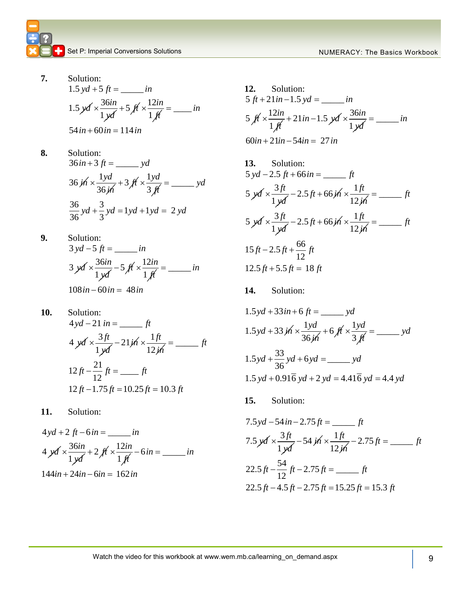- **7.** Solution: Solution:<br>1.5  $yd + 5 ft =$  *in* 1.5  $\cancel{y}$ d  $\times \frac{36}{5}$ 1 *in yd*  $\times \frac{36in}{12} + 5$   $\cancel{f}$   $\times \frac{12}{12}$ 1 *in ft*  $\times \frac{12in}{\sqrt{2}} =$  in  $1$ *ya*<br>54 in + 60 in = 114 in
- **8.** Solution: Solution:<br> $36 in + 3 ft =$  \_\_\_\_\_\_\_ yd 36 *i*n  $\times \frac{1}{1}$ 36 *yd in*  $\times \frac{1yd}{2x} + 3 ft \times \frac{1}{2}$ 3 *yd ft*  $x\frac{1 y a}{2 x^2} =$  yd  $36 \mu$   $3 \mu$ <br> $36 \text{ yd} + \frac{3}{3} \text{ yd} = 1 \text{ yd} + 1 \text{ yd} = 2$  $\frac{36}{36}yd + \frac{3}{3}$  $yd + \frac{3}{3}yd = 1yd + 1yd = 2yd$
- **9.** Solution: Solution:<br> $3 yd - 5 ft =$  *in* 3 yd  $\times\frac{36}{5}$ 1 *in yd*  $\times \frac{36in}{12} - 5$  ft  $\times \frac{12}{1}$ 1 *in ft*  $\times \frac{12in}{100} =$  in  $1$ *ya*<br> $108 in - 60 in = 48 in$
- **10.** Solution: Solution:<br> $4 yd - 21$  in = \_\_\_\_\_\_\_\_ ft  $4 \cancel{x}$   $\cancel{4} \times \frac{3}{4}$ 1 *ft yd*  $\times \frac{3ft}{\sqrt{2}} - 21 \cancel{th} \times \frac{1}{\sqrt{2}}$ 12 *ft in* \_\_\_\_\_ *ft*  $12 ft - \frac{21}{12} ft =$  *ft*  $12 f^2$ <br> $12 ft - 1.75 ft = 10.25 ft = 10.3 ft$
- **11.** Solution:

4 yd + 2 ft - 6 in = \_\_\_\_\_\_\_ in  
\n4 yd 
$$
\times \frac{36in}{1 yd} + 2 ft \times \frac{12in}{1 ft} - 6 in = _______ in
$$
  
\n144 in + 24 in - 6 in = 162 in

$$
144in + 24in - 6in = 162in
$$

12. Solution:  
\n5 ft + 21 in -1.5 yd = 
$$
..._{in}
$$
  
\n5 ft ×  $\frac{12in}{1ft}$  + 21 in -1.5 yd ×  $\frac{36in}{1yd}$  =  $..._{in}$   
\n60 in + 21 in -54 in = 27 in

13. Solution:  
\n5 
$$
yd - 2.5 ft + 66 in =
$$
  $ft$   
\n5  $yd \times \frac{3ft}{1yd} - 2.5 ft + 66 jh \times \frac{1ft}{12 jh} =$   $ft$   
\n5  $yd \times \frac{3ft}{1yd} - 2.5 ft + 66 jh \times \frac{1ft}{12 jh} =$   $ft$   
\n15  $ft - 2.5 ft + \frac{66}{12} ft$   
\n12.5  $ft + 5.5 ft = 18 ft$ 

**14.** Solution:

1.5 yd + 33 in + 6 ft = 
$$
\_\_\_
$$
 yd  
\n1.5 yd + 33 jh ×  $\frac{1yd}{36jh}$  + 6 ft ×  $\frac{1yd}{3ft}$  =  $\_\_\_$  yd  
\n1.5 yd +  $\frac{33}{36}$  yd + 6 yd =  $\_\_\_$  yd  
\n1.5 yd + 0.916 yd + 2 yd = 4.416 yd = 4.4 yd

**15.** Solution:

13. Solution:  
\n
$$
7.5 yd - 54 in - 2.75 ft =
$$
\n
$$
7.5 yd \times \frac{3ft}{1yd} - 54 jh \times \frac{1ft}{12jh} - 2.75 ft =
$$
\n
$$
22.5 ft - \frac{54}{12} ft - 2.75 ft =
$$
\n
$$
7.5 yd \times \frac{3ft}{12jh} - 54 jh \times \frac{1ft}{12jh} - 2.75 ft =
$$
\n
$$
7.5 yd \times \frac{3ft}{12jh} - 54 jh \times \frac{1}{12jh} - 2.75 ft =
$$
\n
$$
7.5 yd \times \frac{3ft}{12jh} - 54 jh \times \frac{1}{12jh} - 2.75 ft =
$$
\n
$$
7.5 yd \times \frac{3ft}{12jh} - 54 jh \times \frac{1}{12jh} - 2.75 ft =
$$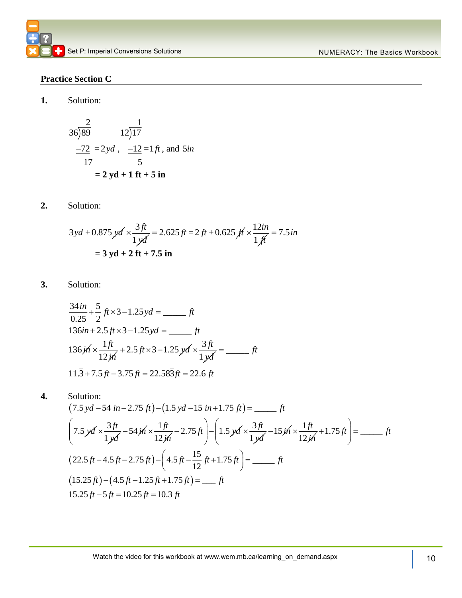#### **Practice Section C**

**1.** Solution:

$$
\frac{2}{36}\overline{\smash)89} \qquad 12\overline{\smash)17}
$$
\n
$$
\frac{-72}{17} = 2yd, \quad \frac{-12}{5} = 1ft, \text{ and } 5in
$$
\n
$$
= 2yd + 1ft + 5in
$$

**2.** Solution:

$$
3yd + 0.875 \, y\, \frac{3 \, ft}{1 \, y\, \frac{d}{dt}} = 2.625 \, ft = 2 \, ft + 0.625 \, \text{ft} \times \frac{12 \, in}{1 \, \text{ft}} = 7.5 \, \text{in}
$$
\n
$$
= 3 \, y\, \text{d} + 2 \, \text{ft} + 7.5 \, \text{in}
$$

**3.** Solution:

Solution:  
\n
$$
\frac{34 \text{ in}}{0.25} + \frac{5}{2} \text{ ft} \times 3 - 1.25 \text{ yd} = \underline{\hspace{1cm}} \text{ ft}
$$
\n
$$
136 \text{ in} + 2.5 \text{ ft} \times 3 - 1.25 \text{ yd} = \underline{\hspace{1cm}} \text{ ft}
$$
\n
$$
136 \text{ j} \times \frac{1 \text{ ft}}{12 \text{ j} \times 1} + 2.5 \text{ ft} \times 3 - 1.25 \text{ yd} \times \frac{3 \text{ ft}}{1 \text{ y} \times 1} = \underline{\hspace{1cm}} \text{ ft}
$$
\n
$$
11.3 + 7.5 \text{ ft} - 3.75 \text{ ft} = 22.58 \overline{3} \text{ ft} = 22.6 \text{ ft}
$$

11.3 + 7.5 ft - 3.75 ft = 22.583 ft = 22.6 ft  
\n4. Solution:  
\n(7.5 yd - 54 in - 2.75 ft) - (1.5 yd - 15 in + 1.75 ft) = 
$$
\_\_\_
$$
 ft  
\n
$$
\left(7.5 yd \times \frac{3ft}{1 yd} - 54 jd \times \frac{1 ft}{12 jh} - 2.75 ft\right) - \left(1.5 yd \times \frac{3 ft}{1 yd} - 15 jd \times \frac{1 ft}{12 jh} + 1.75 ft\right) = \underline{\qquad} \_
$$
\n(22.5 ft - 4.5 ft - 2.75 ft) -  $\left(4.5 ft - \frac{15}{12} ft + 1.75 ft\right) = \underline{\qquad} \_$  ft  
\n(15.25 ft) -  $\left(4.5 ft - 1.25 ft + 1.75 ft\right) = \underline{\qquad} \_$  ft  
\n15.25 ft - 5 ft = 10.25 ft = 10.3 ft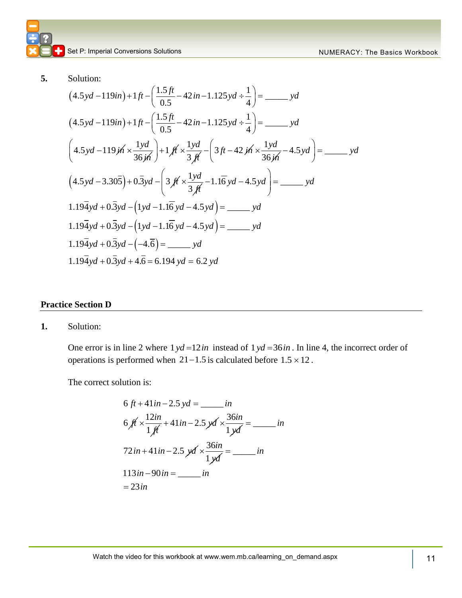**5.** Solution:

Solution:  
\n(d.5yd – 119in) + 1 ft – 
$$
\left(\frac{1.5ft}{0.5} - 42 \text{ in } -1.125 \text{ yd} \div \frac{1}{4}\right)
$$
 = \_\_\_\_\_\_\_ *yd*  
\n $(4.5yd - 119in) + 1 ft - \left(\frac{1.5ft}{0.5} - 42 \text{ in } -1.125 \text{ yd} \div \frac{1}{4}\right)$  = \_\_\_\_\_\_\_ *yd*  
\n $\left(4.5yd - 119j\hat{n} \times \frac{1yd}{36j\hat{n}}\right) + 1j\hat{r} \times \frac{1yd}{3j\hat{r}} - \left(3jt - 42j\hat{n} \times \frac{1yd}{36j\hat{n}} - 4.5yd\right)$  = \_\_\_\_\_\_\_ *yd*  
\n $(4.5yd - 3.30\overline{5}) + 0.\overline{3}yd - \left(3j\hat{r} \times \frac{1yd}{3j\hat{r}} - 1.1\overline{6}yd - 4.5yd\right)$  = \_\_\_\_\_\_\_ *yd*  
\n $1.19\overline{4}yd + 0.\overline{3}yd - (1yd - 1.1\overline{6}yd - 4.5yd)$  = \_\_\_\_\_\_\_ *yd*  
\n $1.19\overline{4}yd + 0.\overline{3}yd - (1yd - 1.1\overline{6}yd - 4.5yd)$  = \_\_\_\_\_\_\_ *yd*  
\n $1.19\overline{4}yd + 0.\overline{3}yd - (-4.\overline{6})$  = \_\_\_\_\_\_\_ *yd*  
\n $1.19\overline{4}yd + 0.\overline{3}yd - (-4.\overline{6})$  = \_\_\_\_\_\_\_ *yd*  
\n $1.19\overline{4}yd + 0.\overline{3}yd + 4.\overline{6} = 6.194yd = 6.2yd$ 

#### **Practice Section D**

**1.** Solution:

One error is in line 2 where  $1 yd = 12in$  instead of  $1 yd = 36in$ . In line 4, the incorrect order of operations is performed when  $21 - 1.5$  is calculated before  $1.5 \times 12$ .

The correct solution is:

6 ft + 41 in - 2.5 yd = 
$$
...in
$$
  
\n6 ft ×  $\frac{12in}{1ft}$  + 41 in - 2.5 yd ×  $\frac{36in}{1yd}$  =  $...in$   
\n72 in + 41 in - 2.5 yd ×  $\frac{36in}{1yd}$  =  $...in$   
\n113 in -90 in =  $...in$   
\n= 23 in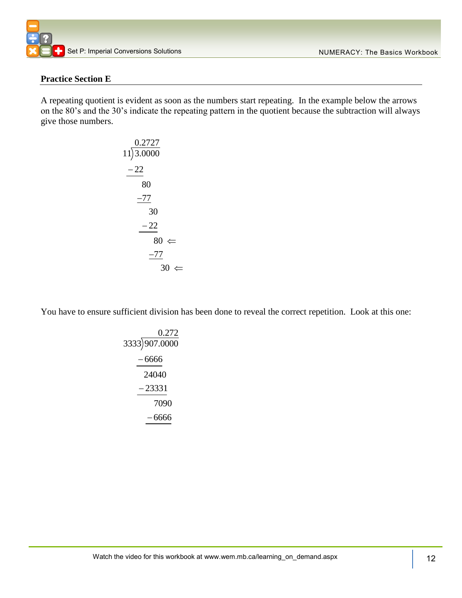#### **Practice Section E**

A repeating quotient is evident as soon as the numbers start repeating. In the example below the arrows on the 80's and the 30's indicate the repeating pattern in the quotient because the subtraction will always give those numbers.

$$
\begin{array}{r}\n0.2727 \\
11)3.0000 \\
-22 \\
80 \\
\hline\n-77 \\
30 \\
-22 \\
80 \Leftarrow \\
\hline\n-77 \\
30 \Leftarrow\n\end{array}
$$

You have to ensure sufficient division has been done to reveal the correct repetition. Look at this one:

$$
\begin{array}{r}\n 0.272 \\
3333 \overline{)907.0000} \\
 -6666 \\
 \hline\n 24040 \\
 -23331 \\
 \hline\n 7090 \\
 -6666\n \end{array}
$$